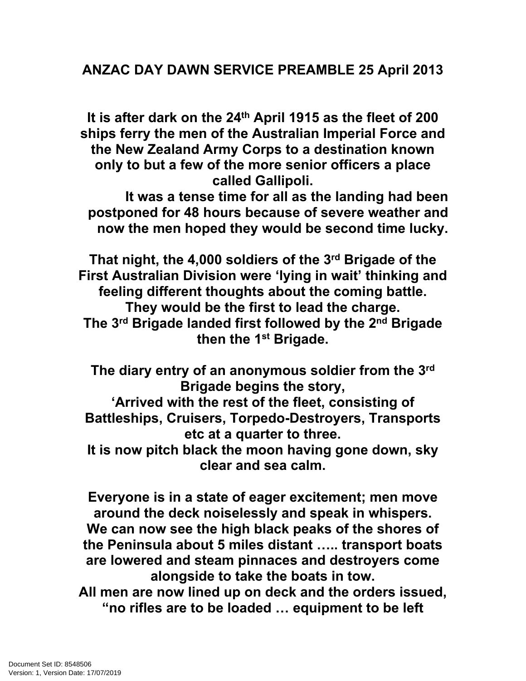## **ANZAC DAY DAWN SERVICE PREAMBLE 25 April 2013**

**It is after dark on the 24th April 1915 as the fleet of 200 ships ferry the men of the Australian Imperial Force and the New Zealand Army Corps to a destination known only to but a few of the more senior officers a place called Gallipoli.**

**It was a tense time for all as the landing had been postponed for 48 hours because of severe weather and now the men hoped they would be second time lucky.**

**That night, the 4,000 soldiers of the 3rd Brigade of the First Australian Division were 'lying in wait' thinking and feeling different thoughts about the coming battle. They would be the first to lead the charge. The 3rd Brigade landed first followed by the 2nd Brigade then the 1st Brigade.**

**The diary entry of an anonymous soldier from the 3rd Brigade begins the story, 'Arrived with the rest of the fleet, consisting of** 

**Battleships, Cruisers, Torpedo-Destroyers, Transports etc at a quarter to three.**

**It is now pitch black the moon having gone down, sky clear and sea calm.**

**Everyone is in a state of eager excitement; men move around the deck noiselessly and speak in whispers. We can now see the high black peaks of the shores of the Peninsula about 5 miles distant ….. transport boats are lowered and steam pinnaces and destroyers come alongside to take the boats in tow.**

**All men are now lined up on deck and the orders issued, "no rifles are to be loaded … equipment to be left**